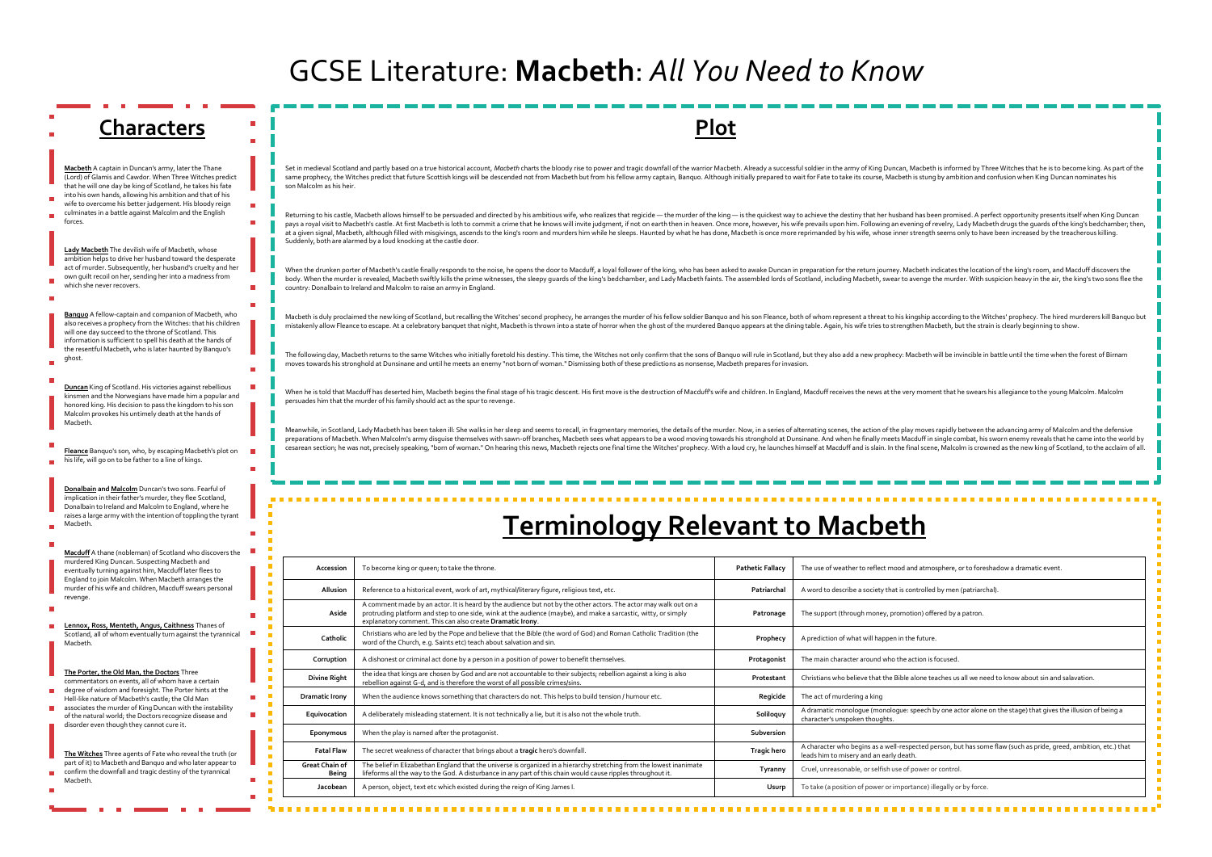## GCSE Literature: **Macbeth**: *All You Need to Know*

| Characters                                                                                                                                                                                                                                                                                                                                                                                                                                                                                                                 | <b>Plot</b>                                                                                                                                                                                                                                                                                                                                                                                                                                                                                                                                                                                                                                                                                                                                                                                                                                                                                                                                                                                                          |                                                                                                                                                                                                                                                                                                 |                         |                                                                                                                                                             |  |
|----------------------------------------------------------------------------------------------------------------------------------------------------------------------------------------------------------------------------------------------------------------------------------------------------------------------------------------------------------------------------------------------------------------------------------------------------------------------------------------------------------------------------|----------------------------------------------------------------------------------------------------------------------------------------------------------------------------------------------------------------------------------------------------------------------------------------------------------------------------------------------------------------------------------------------------------------------------------------------------------------------------------------------------------------------------------------------------------------------------------------------------------------------------------------------------------------------------------------------------------------------------------------------------------------------------------------------------------------------------------------------------------------------------------------------------------------------------------------------------------------------------------------------------------------------|-------------------------------------------------------------------------------------------------------------------------------------------------------------------------------------------------------------------------------------------------------------------------------------------------|-------------------------|-------------------------------------------------------------------------------------------------------------------------------------------------------------|--|
|                                                                                                                                                                                                                                                                                                                                                                                                                                                                                                                            |                                                                                                                                                                                                                                                                                                                                                                                                                                                                                                                                                                                                                                                                                                                                                                                                                                                                                                                                                                                                                      |                                                                                                                                                                                                                                                                                                 |                         |                                                                                                                                                             |  |
| Macbeth A captain in Duncan's army, later the Thane<br>(Lord) of Glamis and Cawdor. When Three Witches predict<br>that he will one day be king of Scotland, he takes his fate<br>into his own hands, allowing his ambition and that of his<br>wife to overcome his better judgement. His bloody reign                                                                                                                                                                                                                      | Set in medieval Scotland and partly based on a true historical account, Macbeth charts the bloody rise to power and traqic downfall of the warrior Macbeth. Already a successful soldier in the army of King Duncan, Macbeth i<br>same prophecy, the Witches predict that future Scottish kings will be descended not from Macbeth but from his fellow army captain, Banquo. Although initially prepared to wait for Fate to take its course, Macbeth is stung b<br>son Malcolm as his heir.                                                                                                                                                                                                                                                                                                                                                                                                                                                                                                                         |                                                                                                                                                                                                                                                                                                 |                         |                                                                                                                                                             |  |
| culminates in a battle against Malcolm and the English<br>forces                                                                                                                                                                                                                                                                                                                                                                                                                                                           | Returning to his castle, Macbeth allows himself to be persuaded and directed by his ambitious wife, who realizes that reqicide - the murder of the king - is the quickest way to achieve the destiny that her husband has been<br>pays a royal visit to Macbeth's castle. At first Macbeth is loth to commit a crime that he knows will invite judgment, if not on earth then in heaven. Once more, however, his wife prevails upon him. Following an evening of<br>at a given signal, Macbeth, although filled with misgivings, ascends to the king's room and murders him while he sleeps. Haunted by what he has done, Macbeth is once more reprimanded by his wife, whose inner strength seems<br>Suddenly, both are alarmed by a loud knocking at the castle door.                                                                                                                                                                                                                                              |                                                                                                                                                                                                                                                                                                 |                         |                                                                                                                                                             |  |
| Lady Macbeth The devilish wife of Macbeth, whose<br>ambition helps to drive her husband toward the desperate<br>act of murder. Subsequently, her husband's cruelty and her<br>own quilt recoil on her, sending her into a madness from<br>which she never recovers.                                                                                                                                                                                                                                                        | When the drunken porter of Macbeth's castle finally responds to the noise, he opens the door to Macduff, a loyal follower of the king, who has been asked to awake Duncan in preparation for the return journey. Macbeth indic<br>body. When the murder is revealed, Macbeth swiftly kills the prime witnesses, the sleepy quards of the king's bedchamber, and Lady Macbeth faints. The assembled lords of Scotland, including Macbeth, swear to avenge the mur<br>country: Donalbain to Ireland and Malcolm to raise an army in England.                                                                                                                                                                                                                                                                                                                                                                                                                                                                           |                                                                                                                                                                                                                                                                                                 |                         |                                                                                                                                                             |  |
| Banquo A fellow-captain and companion of Macbeth, who<br>also receives a prophecy from the Witches: that his children<br>will one day succeed to the throne of Scotland. This<br>information is sufficient to spell his death at the hands of<br>the resentful Macbeth, who is later haunted by Banquo's<br>ghost.                                                                                                                                                                                                         | Macbeth is duly proclaimed the new king of Scotland, but recalling the Witches' second prophecy, he arranges the murder of his fellow soldier Banquo and his son Fleance, both of whom represent a threat to his kingship acco<br>mistakenly allow Fleance to escape. At a celebratory banquet that night, Macbeth is thrown into a state of horror when the ghost of the murdered Banquo appears at the dining table. Again, his wife tries to strengthen Macbe                                                                                                                                                                                                                                                                                                                                                                                                                                                                                                                                                     |                                                                                                                                                                                                                                                                                                 |                         |                                                                                                                                                             |  |
|                                                                                                                                                                                                                                                                                                                                                                                                                                                                                                                            | The following day, Macbeth returns to the same Witches who initially foretold his destiny. This time, the Witches not only confirm that the sons of Banquo will rule in Scotland, but they also add a new prophecy: Macbeth wi<br>moves towards his stronghold at Dunsinane and until he meets an enemy "not born of woman." Dismissing both of these predictions as nonsense, Macbeth prepares for invasion                                                                                                                                                                                                                                                                                                                                                                                                                                                                                                                                                                                                         |                                                                                                                                                                                                                                                                                                 |                         |                                                                                                                                                             |  |
| Duncan King of Scotland. His victories against rebellious<br>kinsmen and the Norwegians have made him a popular and<br>honored king. His decision to pass the kingdom to his son<br>Malcolm provokes his untimely death at the hands of<br>Macbeth.                                                                                                                                                                                                                                                                        | When he is told that Macduff has deserted him, Macbeth begins the final stage of his tragic descent. His first move is the destruction of Macduff's wife and children. In England, Macduff receives the news at the very momen<br>persuades him that the murder of his family should act as the spur to revenge<br>Meanwhile, in Scotland, Lady Macbeth has been taken ill: She walks in her sleep and seems to recall, in fragmentary memories, the details of the murder. Now, in a series of alternating scenes, the action of the play moves<br>preparations of Macbeth. When Malcolm's army disquise themselves with sawn-off branches, Macbeth sees what appears to be a wood moving towards his stronghold at Dunsinane. And when he finally meets Macduff in single combat<br>cesarean section; he was not, precisely speaking, "born of woman." On hearing this news, Macbeth rejects one final time the Witches' prophecy. With a loud cry, he launches himself at Macduff and is slain. In the final scen |                                                                                                                                                                                                                                                                                                 |                         |                                                                                                                                                             |  |
| Fleance Banquo's son, who, by escaping Macbeth's plot on<br>his life, will go on to be father to a line of kings.                                                                                                                                                                                                                                                                                                                                                                                                          |                                                                                                                                                                                                                                                                                                                                                                                                                                                                                                                                                                                                                                                                                                                                                                                                                                                                                                                                                                                                                      |                                                                                                                                                                                                                                                                                                 |                         |                                                                                                                                                             |  |
| Donalbain and Malcolm Duncan's two sons. Fearful of<br>implication in their father's murder, they flee Scotland,<br>Donalbain to Ireland and Malcolm to England, where he<br>raises a large army with the intention of toppling the tyrant<br>Macbeth.                                                                                                                                                                                                                                                                     | <b>Terminology Relevant to Macbeth</b>                                                                                                                                                                                                                                                                                                                                                                                                                                                                                                                                                                                                                                                                                                                                                                                                                                                                                                                                                                               |                                                                                                                                                                                                                                                                                                 |                         |                                                                                                                                                             |  |
| Macduff A thane (nobleman) of Scotland who discovers the                                                                                                                                                                                                                                                                                                                                                                                                                                                                   |                                                                                                                                                                                                                                                                                                                                                                                                                                                                                                                                                                                                                                                                                                                                                                                                                                                                                                                                                                                                                      |                                                                                                                                                                                                                                                                                                 |                         |                                                                                                                                                             |  |
| murdered King Duncan. Suspecting Macbeth and<br>eventually turning against him, Macduff later flees to<br>England to join Malcolm. When Macbeth arranges the<br>murder of his wife and children, Macduff swears personal<br>revenge.                                                                                                                                                                                                                                                                                       | Accession                                                                                                                                                                                                                                                                                                                                                                                                                                                                                                                                                                                                                                                                                                                                                                                                                                                                                                                                                                                                            | To become king or queen; to take the throne.                                                                                                                                                                                                                                                    | <b>Pathetic Fallacy</b> | The use of weather to reflect mood and atmosphere, or to foreshadow a dramatic event.                                                                       |  |
|                                                                                                                                                                                                                                                                                                                                                                                                                                                                                                                            | Allusion                                                                                                                                                                                                                                                                                                                                                                                                                                                                                                                                                                                                                                                                                                                                                                                                                                                                                                                                                                                                             | Reference to a historical event, work of art, mythical/literary figure, religious text, etc.                                                                                                                                                                                                    | Patriarchal             | A word to describe a society that is controlled by men (patriarchal).                                                                                       |  |
| Lennox, Ross, Menteth, Angus, Caithness Thanes of<br>Scotland, all of whom eventually turn against the tyrannical<br>Macbeth<br>The Porter, the Old Man, the Doctors Three<br>commentators on events, all of whom have a certain<br>degree of wisdom and foresight. The Porter hints at the<br>٠<br>Hell-like nature of Macbeth's castle: the Old Man<br>associates the murder of King Duncan with the instability<br>of the natural world; the Doctors recognize disease and<br>disorder even though they cannot cure it. | Aside                                                                                                                                                                                                                                                                                                                                                                                                                                                                                                                                                                                                                                                                                                                                                                                                                                                                                                                                                                                                                | A comment made by an actor. It is heard by the audience but not by the other actors. The actor may walk out on a<br>protruding platform and step to one side, wink at the audience (maybe), and make a sarcastic, witty, or simply<br>explanatory comment. This can also create Dramatic Irony. | Patronage               | The support (through money, promotion) offered by a patron.                                                                                                 |  |
|                                                                                                                                                                                                                                                                                                                                                                                                                                                                                                                            | Catholic                                                                                                                                                                                                                                                                                                                                                                                                                                                                                                                                                                                                                                                                                                                                                                                                                                                                                                                                                                                                             | Christians who are led by the Pope and believe that the Bible (the word of God) and Roman Catholic Tradition (the<br>word of the Church, e.g. Saints etc) teach about salvation and sin.                                                                                                        | Prophecy                | A prediction of what will happen in the future.                                                                                                             |  |
|                                                                                                                                                                                                                                                                                                                                                                                                                                                                                                                            | Corruption                                                                                                                                                                                                                                                                                                                                                                                                                                                                                                                                                                                                                                                                                                                                                                                                                                                                                                                                                                                                           | A dishonest or criminal act done by a person in a position of power to benefit themselves.                                                                                                                                                                                                      | Protagonist             | The main character around who the action is focused.                                                                                                        |  |
|                                                                                                                                                                                                                                                                                                                                                                                                                                                                                                                            | <b>Divine Right</b>                                                                                                                                                                                                                                                                                                                                                                                                                                                                                                                                                                                                                                                                                                                                                                                                                                                                                                                                                                                                  | the idea that kings are chosen by God and are not accountable to their subjects; rebellion against a king is also<br>rebellion against G-d, and is therefore the worst of all possible crimes/sins.                                                                                             | Protestant              | Christians who believe that the Bible alone teaches us all we need to know about sin and salavation.                                                        |  |
|                                                                                                                                                                                                                                                                                                                                                                                                                                                                                                                            | Dramatic Irony                                                                                                                                                                                                                                                                                                                                                                                                                                                                                                                                                                                                                                                                                                                                                                                                                                                                                                                                                                                                       | When the audience knows something that characters do not. This helps to build tension / humour etc.                                                                                                                                                                                             | Regicide                | The act of murdering a king                                                                                                                                 |  |
|                                                                                                                                                                                                                                                                                                                                                                                                                                                                                                                            | Equivocation                                                                                                                                                                                                                                                                                                                                                                                                                                                                                                                                                                                                                                                                                                                                                                                                                                                                                                                                                                                                         | A deliberately misleading statement. It is not technically a lie, but it is also not the whole truth.                                                                                                                                                                                           | Soliloquy               | A dramatic monologue (monologue: speech by one actor alone on the stage) that gives the illusion of being a<br>character's unspoken thoughts.               |  |
|                                                                                                                                                                                                                                                                                                                                                                                                                                                                                                                            | Eponymous                                                                                                                                                                                                                                                                                                                                                                                                                                                                                                                                                                                                                                                                                                                                                                                                                                                                                                                                                                                                            | When the play is named after the protagonist.                                                                                                                                                                                                                                                   | Subversion              |                                                                                                                                                             |  |
| The Witches Three agents of Fate who reveal the truth (or<br>part of it) to Macbeth and Banquo and who later appear to<br>confirm the downfall and tragic destiny of the tyrannical<br>Macbeth                                                                                                                                                                                                                                                                                                                             | <b>Fatal Flaw</b>                                                                                                                                                                                                                                                                                                                                                                                                                                                                                                                                                                                                                                                                                                                                                                                                                                                                                                                                                                                                    | The secret weakness of character that brings about a tragic hero's downfall                                                                                                                                                                                                                     | <b>Tragic hero</b>      | A character who begins as a well-respected person, but has some flaw (such as pride, greed, ambition, etc.) that<br>leads him to misery and an early death. |  |
|                                                                                                                                                                                                                                                                                                                                                                                                                                                                                                                            | <b>Great Chain of</b><br>Being                                                                                                                                                                                                                                                                                                                                                                                                                                                                                                                                                                                                                                                                                                                                                                                                                                                                                                                                                                                       | The belief in Elizabethan England that the universe is organized in a hierarchy stretching from the lowest inanimate<br>lifeforms all the way to the God. A disturbance in any part of this chain would cause ripples throughout it.                                                            | Tyranny                 | Cruel, unreasonable, or selfish use of power or control.                                                                                                    |  |
|                                                                                                                                                                                                                                                                                                                                                                                                                                                                                                                            | Jacobean                                                                                                                                                                                                                                                                                                                                                                                                                                                                                                                                                                                                                                                                                                                                                                                                                                                                                                                                                                                                             | A person, object, text etc which existed during the reign of King James I.                                                                                                                                                                                                                      | Usurp                   | To take (a position of power or importance) illegally or by force.                                                                                          |  |